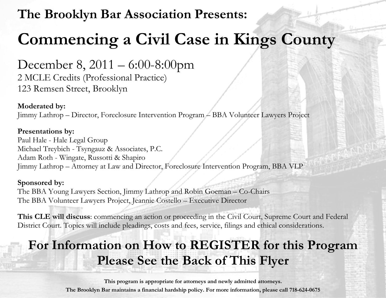## **The Brooklyn Bar Association Presents:**

# **Commencing a Civil Case in Kings County**

December 8, 2011 – 6:00-8:00pm 2 MCLE Credits (Professional Practice) 123 Remsen Street, Brooklyn

#### **Moderated by:**  Jimmy Lathrop – Director, Foreclosure Intervention Program – BBA Volunteer Lawyers Project

**Presentations by:** 

Paul Hale - Hale Legal Group Michael Treybich - Tsyngauz & Associates, P.C. Adam Roth - Wingate, Russotti & Shapiro Jimmy Lathrop – Attorney at Law and Director, Foreclosure Intervention Program, BBA VLP

#### **Sponsored by:**

The BBA Young Lawyers Section, Jimmy Lathrop and Robin Goeman – Co-Chairs The BBA Volunteer Lawyers Project, Jeannie Costello – Executive Director

**This CLE will discuss**: commencing an action or proceeding in the Civil Court, Supreme Court and Federal District Court. Topics will include pleadings, costs and fees, service, filings and ethical considerations.

# **For Information on How to REGISTER for this Program Please See the Back of This Flyer**

**This program is appropriate for attorneys and newly admitted attorneys. The Brooklyn Bar maintains a financial hardship policy. For more information, please call 718-624-0675**